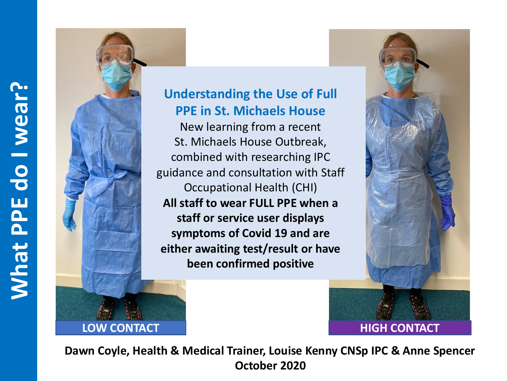

## **Understanding the Use of Full PPE in St. Michaels House**

New learning from a recent St. Michaels House Outbreak, combined with researching IPC guidance and consultation with Staff Occupational Health (CHI) **All staff to wear FULL PPE when a staff or service user displays symptoms of Covid 19 and are either awaiting test/result or have been confirmed positive**



**Dawn Coyle, Health & Medical Trainer, Louise Kenny CNSp IPC & Anne Spencer October 2020**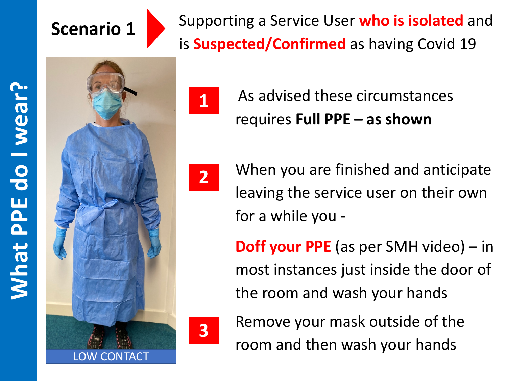## **Scenario 1**

Supporting a Service User **who is isolated** and is **Suspected/Confirmed** as having Covid 19

**What PPE do I wear? What PPE do I wear?** 





As advised these circumstances requires **Full PPE – as shown**



When you are finished and anticipate leaving the service user on their own for a while you -

**Doff your PPE** (as per SMH video) – in most instances just inside the door of the room and wash your hands



**3** Remove your mask outside of the room and then wash your hands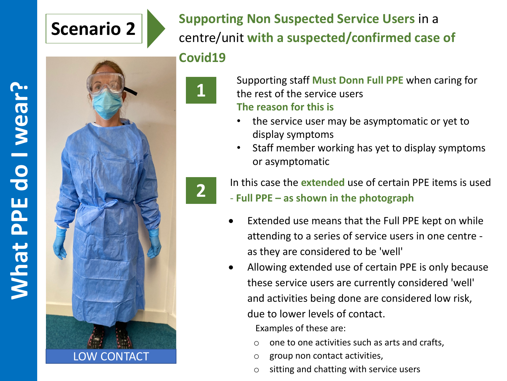## **Scenario 2**



**Supporting Non Suspected Service Users** in a centre/unit **with a suspected/confirmed case of Covid19**



Supporting staff **Must Donn Full PPE** when caring for the rest of the service users **The reason for this is**

- the service user may be asymptomatic or yet to display symptoms
- Staff member working has yet to display symptoms or asymptomatic



**2** In this case the **extended** use of certain PPE items is used - **Full PPE – as shown in the photograph**

- Extended use means that the Full PPE kept on while attending to a series of service users in one centre as they are considered to be 'well'
- Allowing extended use of certain PPE is only because these service users are currently considered 'well' and activities being done are considered low risk, due to lower levels of contact.

Examples of these are:

- o one to one activities such as arts and crafts,
- o group non contact activities,
- o sitting and chatting with service users